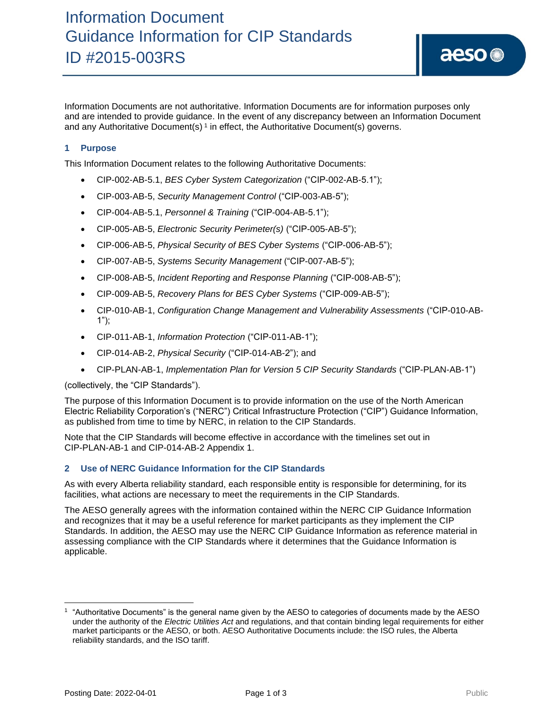Information Documents are not authoritative. Information Documents are for information purposes only and are intended to provide guidance. In the event of any discrepancy between an Information Document and any Authoritative Document(s)<sup>1</sup> in effect, the Authoritative Document(s) governs.

# **1 Purpose**

This Information Document relates to the following Authoritative Documents:

- CIP-002-AB-5.1, *BES Cyber System Categorization* ("CIP-002-AB-5.1");
- CIP-003-AB-5, *Security Management Control* ("CIP-003-AB-5");
- CIP-004-AB-5.1, *Personnel & Training* ("CIP-004-AB-5.1");
- CIP-005-AB-5, *Electronic Security Perimeter(s)* ("CIP-005-AB-5");
- CIP-006-AB-5, *Physical Security of BES Cyber Systems* ("CIP-006-AB-5");
- CIP-007-AB-5, *Systems Security Management* ("CIP-007-AB-5");
- CIP-008-AB-5, *Incident Reporting and Response Planning* ("CIP-008-AB-5");
- CIP-009-AB-5, *Recovery Plans for BES Cyber Systems* ("CIP-009-AB-5");
- CIP-010-AB-1, *Configuration Change Management and Vulnerability Assessments* ("CIP-010-AB-1");
- CIP-011-AB-1, *Information Protection* ("CIP-011-AB-1");
- CIP-014-AB-2, *Physical Security* ("CIP-014-AB-2"); and
- CIP-PLAN-AB-1, *Implementation Plan for Version 5 CIP Security Standards* ("CIP-PLAN-AB-1")

(collectively, the "CIP Standards").

The purpose of this Information Document is to provide information on the use of the North American Electric Reliability Corporation's ("NERC") Critical Infrastructure Protection ("CIP") Guidance Information, as published from time to time by NERC, in relation to the CIP Standards.

Note that the CIP Standards will become effective in accordance with the timelines set out in CIP-PLAN-AB-1 and CIP-014-AB-2 Appendix 1.

### **2 Use of NERC Guidance Information for the CIP Standards**

As with every Alberta reliability standard, each responsible entity is responsible for determining, for its facilities, what actions are necessary to meet the requirements in the CIP Standards.

The AESO generally agrees with the information contained within the NERC CIP Guidance Information and recognizes that it may be a useful reference for market participants as they implement the CIP Standards. In addition, the AESO may use the NERC CIP Guidance Information as reference material in assessing compliance with the CIP Standards where it determines that the Guidance Information is applicable.

<sup>1</sup> "Authoritative Documents" is the general name given by the AESO to categories of documents made by the AESO under the authority of the *Electric Utilities Act* and regulations, and that contain binding legal requirements for either market participants or the AESO, or both. AESO Authoritative Documents include: the ISO rules, the Alberta reliability standards, and the ISO tariff.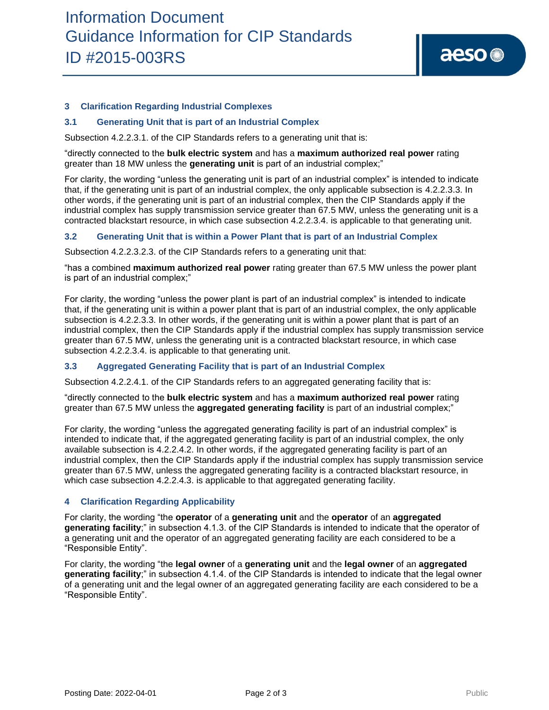

### **3 Clarification Regarding Industrial Complexes**

#### **3.1 Generating Unit that is part of an Industrial Complex**

Subsection 4.2.2.3.1. of the CIP Standards refers to a generating unit that is:

"directly connected to the **bulk electric system** and has a **maximum authorized real power** rating greater than 18 MW unless the **generating unit** is part of an industrial complex;"

For clarity, the wording "unless the generating unit is part of an industrial complex" is intended to indicate that, if the generating unit is part of an industrial complex, the only applicable subsection is 4.2.2.3.3. In other words, if the generating unit is part of an industrial complex, then the CIP Standards apply if the industrial complex has supply transmission service greater than 67.5 MW, unless the generating unit is a contracted blackstart resource, in which case subsection 4.2.2.3.4. is applicable to that generating unit.

#### **3.2 Generating Unit that is within a Power Plant that is part of an Industrial Complex**

Subsection 4.2.2.3.2.3. of the CIP Standards refers to a generating unit that:

"has a combined **maximum authorized real power** rating greater than 67.5 MW unless the power plant is part of an industrial complex;"

For clarity, the wording "unless the power plant is part of an industrial complex" is intended to indicate that, if the generating unit is within a power plant that is part of an industrial complex, the only applicable subsection is 4.2.2.3.3. In other words, if the generating unit is within a power plant that is part of an industrial complex, then the CIP Standards apply if the industrial complex has supply transmission service greater than 67.5 MW, unless the generating unit is a contracted blackstart resource, in which case subsection 4.2.2.3.4. is applicable to that generating unit.

### **3.3 Aggregated Generating Facility that is part of an Industrial Complex**

Subsection 4.2.2.4.1. of the CIP Standards refers to an aggregated generating facility that is:

"directly connected to the **bulk electric system** and has a **maximum authorized real power** rating greater than 67.5 MW unless the **aggregated generating facility** is part of an industrial complex;"

For clarity, the wording "unless the aggregated generating facility is part of an industrial complex" is intended to indicate that, if the aggregated generating facility is part of an industrial complex, the only available subsection is 4.2.2.4.2. In other words, if the aggregated generating facility is part of an industrial complex, then the CIP Standards apply if the industrial complex has supply transmission service greater than 67.5 MW, unless the aggregated generating facility is a contracted blackstart resource, in which case subsection 4.2.2.4.3. is applicable to that aggregated generating facility.

#### **4 Clarification Regarding Applicability**

For clarity, the wording "the **operator** of a **generating unit** and the **operator** of an **aggregated generating facility**;" in subsection 4.1.3. of the CIP Standards is intended to indicate that the operator of a generating unit and the operator of an aggregated generating facility are each considered to be a "Responsible Entity".

For clarity, the wording "the **legal owner** of a **generating unit** and the **legal owner** of an **aggregated generating facility**;" in subsection 4.1.4. of the CIP Standards is intended to indicate that the legal owner of a generating unit and the legal owner of an aggregated generating facility are each considered to be a "Responsible Entity".